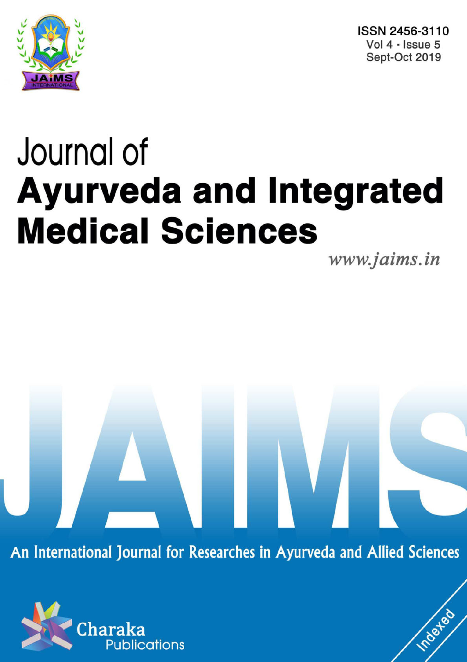

ISSN 2456-3110 Vol 4 · Issue 5 Sept-Oct 2019

# Journal of **Ayurveda and Integrated Medical Sciences**

www.jaims.in

Inderfed

An International Journal for Researches in Ayurveda and Allied Sciences

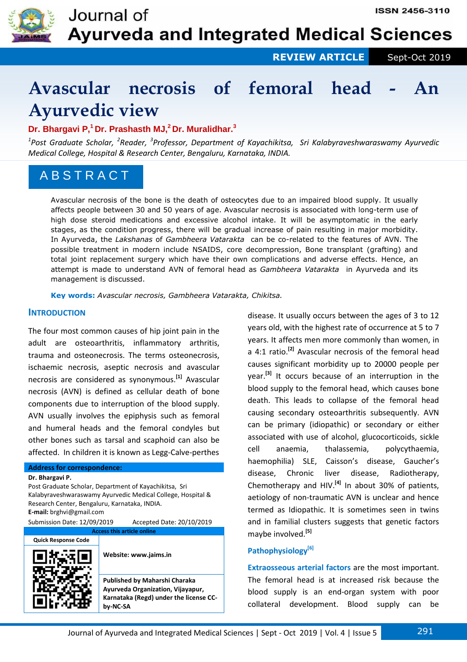

 **REVIEW ARTICLE** Sept-Oct 2019

# **Avascular necrosis of femoral head - An Ayurvedic view**

## **Dr. Bhargavi P,<sup>1</sup>Dr. Prashasth MJ,<sup>2</sup>Dr. Muralidhar.<sup>3</sup>**

<sup>1</sup>Post Graduate Scholar, <sup>2</sup>Reader, <sup>3</sup>Professor, Department of Kayachikitsa, Sri Kalabyraveshwaraswamy Ayurvedic *Medical College, Hospital & Research Center, Bengaluru, Karnataka, INDIA.*

## A B S T R A C T

Avascular necrosis of the bone is the death of osteocytes due to an impaired blood supply. It usually affects people between 30 and 50 years of age. Avascular necrosis is associated with long-term use of high dose steroid medications and excessive alcohol intake. It will be asymptomatic in the early stages, as the condition progress, there will be gradual increase of pain resulting in major morbidity. In Ayurveda, the *Lakshanas* of *Gambheera Vatarakta* can be co-related to the features of AVN. The possible treatment in modern include NSAIDS, core decompression, Bone transplant (grafting) and total joint replacement surgery which have their own complications and adverse effects. Hence, an attempt is made to understand AVN of femoral head as *Gambheera Vatarakta* in Ayurveda and its management is discussed.

**Key words:** *Avascular necrosis, Gambheera Vatarakta, Chikitsa.*

## **INTRODUCTION**

The four most common causes of hip joint pain in the adult are osteoarthritis, inflammatory arthritis, trauma and osteonecrosis. The terms osteonecrosis, ischaemic necrosis, aseptic necrosis and avascular necrosis are considered as synonymous.**[1]** Avascular necrosis (AVN) is defined as cellular death of bone components due to interruption of the blood supply. AVN usually involves the epiphysis such as femoral and humeral heads and the femoral condyles but other bones such as tarsal and scaphoid can also be affected. In children it is known as Legg-Calve-perthes

#### **Address for correspondence:**

**Dr. Bhargavi P.** 

Post Graduate Scholar, Department of Kayachikitsa, Sri Kalabyraveshwaraswamy Ayurvedic Medical College, Hospital & Research Center, Bengaluru, Karnataka, INDIA. **E-mail:** brghvi@gmail.com

Submission Date: 12/09/2019 Accepted Date: 20/10/2019 **Access this article online**



**Website: www.jaims.in** 

**Published by Maharshi Charaka Ayurveda Organization, Vijayapur, Karnataka (Regd) under the license CCby-NC-SA** 

disease. It usually occurs between the ages of 3 to 12 years old, with the highest rate of occurrence at 5 to 7 years. It affects men more commonly than women, in a 4:1 ratio.**[2]** Avascular necrosis of the femoral head causes significant morbidity up to 20000 people per year.**[3]** It occurs because of an interruption in the blood supply to the femoral head, which causes bone death. This leads to collapse of the femoral head causing secondary osteoarthritis subsequently. AVN can be primary (idiopathic) or secondary or either associated with use of alcohol, glucocorticoids, sickle cell anaemia, thalassemia, polycythaemia, haemophilia) SLE, Caisson's disease, Gaucher's disease, Chronic liver disease, Radiotherapy, Chemotherapy and HIV.**[4]** In about 30% of patients, aetiology of non-traumatic AVN is unclear and hence termed as Idiopathic. It is sometimes seen in twins and in familial clusters suggests that genetic factors maybe involved.**[5]**

#### **Pathophysiology[6]**

**Extraosseous arterial factors** are the most important. The femoral head is at increased risk because the blood supply is an end-organ system with poor collateral development. Blood supply can be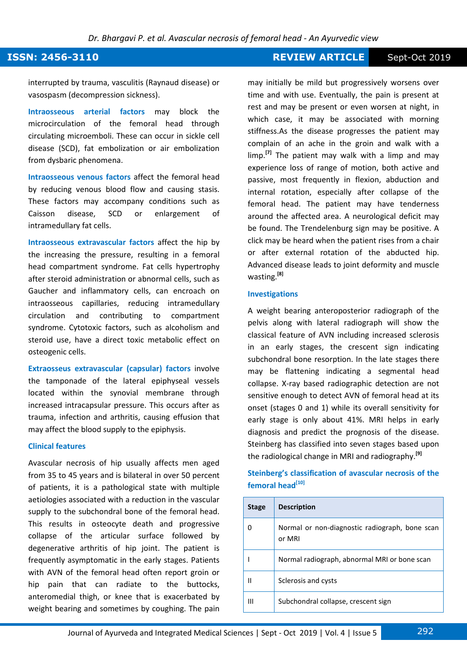#### *Dr. Bhargavi P. et al. Avascular necrosis of femoral head - An Ayurvedic view*

### **ISSN: 2456-3110 REVIEW ARTICLE** Sept-Oct 2019

interrupted by trauma, vasculitis (Raynaud disease) or vasospasm (decompression sickness).

**Intraosseous arterial factors** may block the microcirculation of the femoral head through circulating microemboli. These can occur in sickle cell disease (SCD), fat embolization or air embolization from dysbaric phenomena.

**Intraosseous venous factors** affect the femoral head by reducing venous blood flow and causing stasis. These factors may accompany conditions such as Caisson disease, SCD or enlargement of intramedullary fat cells.

**Intraosseous extravascular factors** affect the hip by the increasing the pressure, resulting in a femoral head compartment syndrome. Fat cells hypertrophy after steroid administration or abnormal cells, such as Gaucher and inflammatory cells, can encroach on intraosseous capillaries, reducing intramedullary circulation and contributing to compartment syndrome. Cytotoxic factors, such as alcoholism and steroid use, have a direct toxic metabolic effect on osteogenic cells.

**Extraosseus extravascular (capsular) factors** involve the tamponade of the lateral epiphyseal vessels located within the synovial membrane through increased intracapsular pressure. This occurs after as trauma, infection and arthritis, causing effusion that may affect the blood supply to the epiphysis.

#### **Clinical features**

Avascular necrosis of hip usually affects men aged from 35 to 45 years and is bilateral in over 50 percent of patients, it is a pathological state with multiple aetiologies associated with a reduction in the vascular supply to the subchondral bone of the femoral head. This results in osteocyte death and progressive collapse of the articular surface followed by degenerative arthritis of hip joint. The patient is frequently asymptomatic in the early stages. Patients with AVN of the femoral head often report groin or hip pain that can radiate to the buttocks, anteromedial thigh, or knee that is exacerbated by weight bearing and sometimes by coughing. The pain

may initially be mild but progressively worsens over time and with use. Eventually, the pain is present at rest and may be present or even worsen at night, in which case, it may be associated with morning stiffness.As the disease progresses the patient may complain of an ache in the groin and walk with a limp.**[7]** The patient may walk with a limp and may experience loss of range of motion, both active and passive, most frequently in flexion, abduction and internal rotation, especially after collapse of the femoral head. The patient may have tenderness around the affected area. A neurological deficit may be found. The Trendelenburg sign may be positive. A click may be heard when the patient rises from a chair or after external rotation of the abducted hip. Advanced disease leads to joint deformity and muscle wasting.**[8]**

#### **Investigations**

A weight bearing anteroposterior radiograph of the pelvis along with lateral radiograph will show the classical feature of AVN including increased sclerosis in an early stages, the crescent sign indicating subchondral bone resorption. In the late stages there may be flattening indicating a segmental head collapse. X-ray based radiographic detection are not sensitive enough to detect AVN of femoral head at its onset (stages 0 and 1) while its overall sensitivity for early stage is only about 41%. MRI helps in early diagnosis and predict the prognosis of the disease. Steinberg has classified into seven stages based upon the radiological change in MRI and radiography.**[9]**

#### **Steinberg's classification of avascular necrosis of the femoral head[10]**

| <b>Stage</b> | <b>Description</b>                                       |
|--------------|----------------------------------------------------------|
|              | Normal or non-diagnostic radiograph, bone scan<br>or MRI |
|              | Normal radiograph, abnormal MRI or bone scan             |
| Ш            | Sclerosis and cysts                                      |
| Ш            | Subchondral collapse, crescent sign                      |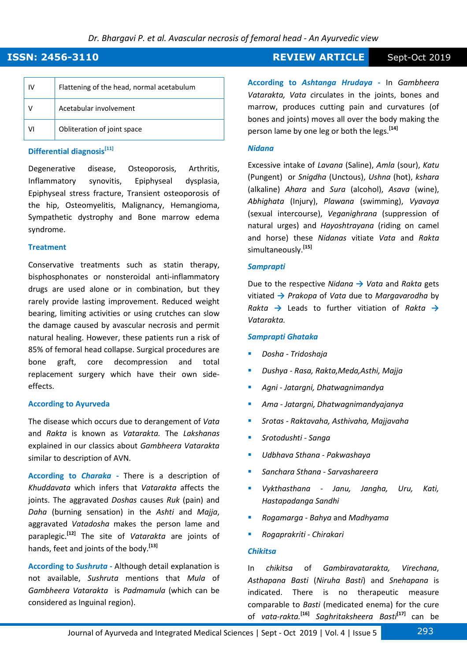## **ISSN: 2456-3110 REVIEW ARTICLE** Sept-Oct 2019

| ı٧ | Flattening of the head, normal acetabulum |
|----|-------------------------------------------|
|    | Acetabular involvement                    |
| ۷ı | Obliteration of joint space               |

#### **Differential diagnosis[11]**

Degenerative disease, Osteoporosis, Arthritis, Inflammatory synovitis, Epiphyseal dysplasia, Epiphyseal stress fracture, Transient osteoporosis of the hip, Osteomyelitis, Malignancy, Hemangioma, Sympathetic dystrophy and Bone marrow edema syndrome.

#### **Treatment**

Conservative treatments such as statin therapy, bisphosphonates or nonsteroidal anti-inflammatory drugs are used alone or in combination, but they rarely provide lasting improvement. Reduced weight bearing, limiting activities or using crutches can slow the damage caused by avascular necrosis and permit natural healing. However, these patients run a risk of 85% of femoral head collapse. Surgical procedures are bone graft, core decompression and total replacement surgery which have their own sideeffects.

#### **According to Ayurveda**

The disease which occurs due to derangement of *Vata* and *Rakta* is known as *Vatarakta.* The *Lakshanas* explained in our classics about *Gambheera Vatarakta*  similar to description of AVN.

**According to** *Charaka* **-** There is a description of *Khuddavata* which infers that *Vatarakta* affects the joints. The aggravated *Doshas* causes *Ruk* (pain) and *Daha* (burning sensation) in the *Ashti* and *Majja*, aggravated *Vatadosha* makes the person lame and paraplegic.**[12]** The site of *Vatarakta* are joints of hands, feet and joints of the body.**[13]**

**According to** *Sushruta* **-** Although detail explanation is not available, *Sushruta* mentions that *Mula* of *Gambheera Vatarakta* is *Padmamula* (which can be considered as Inguinal region).

**According to** *Ashtanga Hrudaya* **-** In *Gambheera Vatarakta, Vata c*irculates in the joints, bones and marrow, produces cutting pain and curvatures (of bones and joints) moves all over the body making the person lame by one leg or both the legs.**[14]**

#### *Nidana*

Excessive intake of *Lavana* (Saline), *Amla* (sour), *Katu* (Pungent) or *Snigdha* (Unctous), *Ushna* (hot), *kshara* (alkaline) *Ahara* and *Sura* (alcohol), *Asava* (wine), *Abhighata* (Injury), *Plawana* (swimming), *Vyavaya* (sexual intercourse), *Veganighrana* (suppression of natural urges) and *Hayoshtrayana* (riding on camel and horse) these *Nidanas* vitiate *Vata* and *Rakta* simultaneously.**[15]**

#### *Samprapti*

Due to the respective *Nidana* **→** *Vata* and *Rakta* gets vitiated **→** *Prakopa* of *Vata* due to *Margavarodha* by *Rakta* **→** Leads to further vitiation of *Rakta* **→** *Vatarakta.*

#### *Samprapti Ghataka*

- *Dosha Tridoshaja*
- *Dushya Rasa, Rakta,Meda,Asthi, Majja*
- *Agni Jatargni, Dhatwagnimandya*
- *Ama Jatargni, Dhatwagnimandyajanya*
- *Srotas Raktavaha, Asthivaha, Majjavaha*
- *Srotodushti Sanga*
- *Udbhava Sthana Pakwashaya*
- *Sanchara Sthana Sarvashareera*
- *Vykthasthana Janu, Jangha, Uru, Kati, Hastapadanga Sandhi*
- *Rogamarga Bahya* and *Madhyama*
- *Rogaprakriti Chirakari*

#### *Chikitsa*

In *chikitsa* of *Gambiravatarakta, Virechana*, *Asthapana Basti* (*Niruha Basti*) and *Snehapana* is indicated. There is no therapeutic measure comparable to *Basti* (medicated enema) for the cure of *vata-rakta.***[16]** *Saghritaksheera Basti***[17]** can be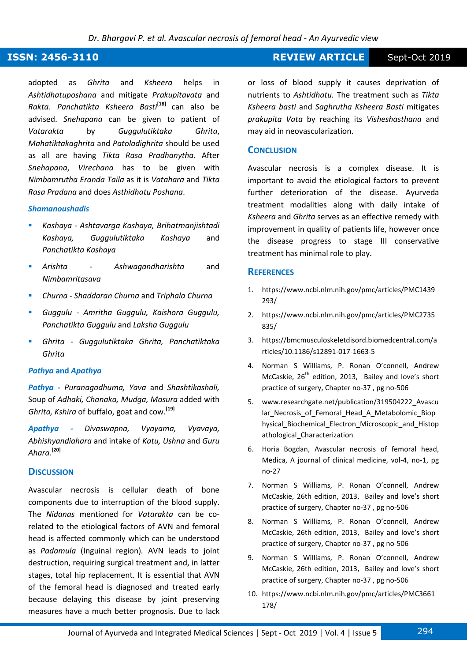### **ISSN: 2456-3110 REVIEW ARTICLE** Sept-Oct 2019

adopted as *Ghrita* and *Ksheera* helps in *Ashtidhatuposhana* and mitigate *Prakupitavata* and *Rakta*. *Panchatikta Ksheera Basti***[18]** can also be advised. *Snehapana* can be given to patient of *Vatarakta* by *Guggulutiktaka Ghrita*, *Mahatiktakaghrita* and *Patoladighrita* should be used as all are having *Tikta Rasa Pradhanytha*. After *Snehapana*, *Virechana* has to be given with *Nimbamrutha Eranda Taila* as it is *Vatahara* and *Tikta Rasa Pradana* and does *Asthidhatu Poshana*.

#### *Shamanoushadis*

- *Kashaya Ashtavarga Kashaya, Brihatmanjishtadi Kashaya, Guggulutiktaka Kashaya* and *Panchatikta Kashaya*
- *Arishta Ashwagandharishta* and *Nimbamritasava*
- *Churna Shaddaran Churna* and *Triphala Churna*
- *Guggulu Amritha Guggulu, Kaishora Guggulu, Panchatikta Guggulu* and *Laksha Guggulu*
- *Ghrita Guggulutiktaka Ghrita, Panchatiktaka Ghrita*

#### *Pathya* **and** *Apathya*

*Pathya - Puranagodhuma, Yava* and *Shashtikashali,*  Soup of *Adhaki, Chanaka, Mudga, Masura* added with *Ghrita, Kshira* of buffalo, goat and cow.**[19]**

*Apathya - Divaswapna, Vyayama, Vyavaya, Abhishyandiahara* and intake of *Katu, Ushna* and *Guru Ahara.***[20]**

#### **DISCUSSION**

Avascular necrosis is cellular death of bone components due to interruption of the blood supply. The *Nidanas* mentioned for *Vatarakta* can be corelated to the etiological factors of AVN and femoral head is affected commonly which can be understood as *Padamula* (Inguinal region)*.* AVN leads to joint destruction, requiring surgical treatment and, in latter stages, total hip replacement. It is essential that AVN of the femoral head is diagnosed and treated early because delaying this disease by joint preserving measures have a much better prognosis. Due to lack or loss of blood supply it causes deprivation of nutrients to *Ashtidhatu.* The treatment such as *Tikta Ksheera basti* and *Saghrutha Ksheera Basti* mitigates *prakupita Vata* by reaching its *Visheshasthana* and may aid in neovascularization.

#### **CONCLUSION**

Avascular necrosis is a complex disease. It is important to avoid the etiological factors to prevent further deterioration of the disease. Ayurveda treatment modalities along with daily intake of *Ksheera* and *Ghrita* serves as an effective remedy with improvement in quality of patients life, however once the disease progress to stage III conservative treatment has minimal role to play.

#### **REFERENCES**

- 1. https://www.ncbi.nlm.nih.gov/pmc/articles/PMC1439 293/
- 2. https://www.ncbi.nlm.nih.gov/pmc/articles/PMC2735 835/
- 3. https://bmcmusculoskeletdisord.biomedcentral.com/a rticles/10.1186/s12891-017-1663-5
- 4. Norman S Williams, P. Ronan O'connell, Andrew McCaskie,  $26<sup>th</sup>$  edition, 2013, Bailey and love's short practice of surgery, Chapter no-37 , pg no-506
- 5. www.researchgate.net/publication/319504222\_Avascu lar\_Necrosis\_of\_Femoral\_Head\_A\_Metabolomic\_Biop hysical Biochemical Electron Microscopic and Histop athological\_Characterization
- 6. Horia Bogdan, Avascular necrosis of femoral head, Medica, A journal of clinical medicine, vol-4, no-1, pg no-27
- 7. Norman S Williams, P. Ronan O'connell, Andrew McCaskie, 26th edition, 2013, Bailey and love's short practice of surgery, Chapter no-37 , pg no-506
- 8. Norman S Williams, P. Ronan O'connell, Andrew McCaskie, 26th edition, 2013, Bailey and love's short practice of surgery, Chapter no-37 , pg no-506
- 9. Norman S Williams, P. Ronan O'connell, Andrew McCaskie, 26th edition, 2013, Bailey and love's short practice of surgery, Chapter no-37 , pg no-506
- 10. https://www.ncbi.nlm.nih.gov/pmc/articles/PMC3661 178/